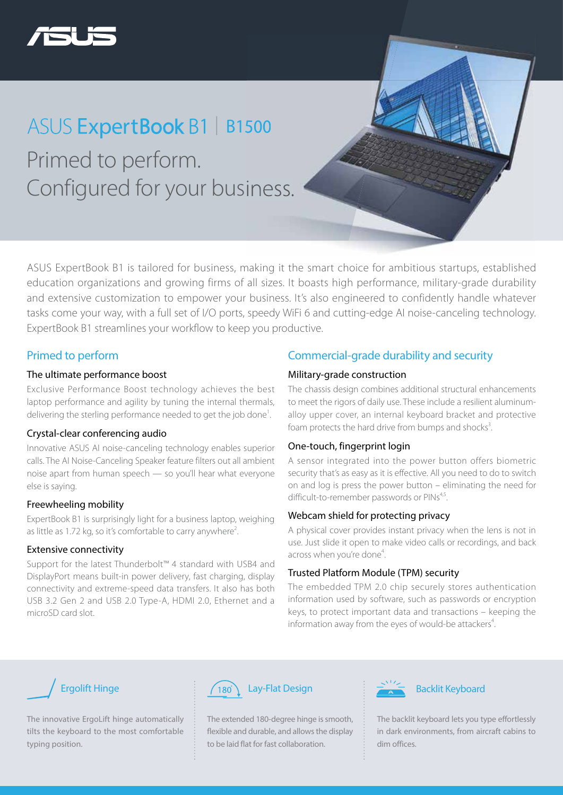

## Primed to perform. Configured for your business. ASUS ExpertBook B1 | B1500

ASUS ExpertBook B1 is tailored for business, making it the smart choice for ambitious startups, established education organizations and growing firms of all sizes. It boasts high performance, military-grade durability and extensive customization to empower your business. It's also engineered to confidently handle whatever tasks come your way, with a full set of I/O ports, speedy WiFi 6 and cutting-edge AI noise-canceling technology. ExpertBook B1 streamlines your workflow to keep you productive.

#### Primed to perform

#### The ultimate performance boost

Exclusive Performance Boost technology achieves the best laptop performance and agility by tuning the internal thermals, delivering the sterling performance needed to get the job done<sup>1</sup>.

#### Crystal-clear conferencing audio

Innovative ASUS AI noise-canceling technology enables superior calls. The AI Noise-Canceling Speaker feature filters out all ambient noise apart from human speech — so you'll hear what everyone else is saying.

#### Freewheeling mobility

ExpertBook B1 is surprisingly light for a business laptop, weighing as little as 1.72 kg, so it's comfortable to carry anywhere<sup>2</sup>. .

#### Extensive connectivity

Support for the latest Thunderbolt™ 4 standard with USB4 and DisplayPort means built-in power delivery, fast charging, display connectivity and extreme-speed data transfers. It also has both USB 3.2 Gen 2 and USB 2.0 Type-A, HDMI 2.0, Ethernet and a microSD card slot.

### Commercial-grade durability and security

#### Military-grade construction

The chassis design combines additional structural enhancements to meet the rigors of daily use. These include a resilient aluminumalloy upper cover, an internal keyboard bracket and protective foam protects the hard drive from bumps and shocks<sup>3</sup>. .

#### One-touch, fingerprint login

A sensor integrated into the power button offers biometric security that's as easy as it is effective. All you need to do to switch on and log is press the power button – eliminating the need for difficult-to-remember passwords or PINs<sup>4,5</sup>.

#### Webcam shield for protecting privacy

A physical cover provides instant privacy when the lens is not in use. Just slide it open to make video calls or recordings, and back across when you're done<sup>4</sup>. .

#### Trusted Platform Module (TPM) security

The embedded TPM 2.0 chip securely stores authentication information used by software, such as passwords or encryption keys, to protect important data and transactions – keeping the information away from the eyes of would-be attackers<sup>4</sup>. .



The innovative ErgoLift hinge automatically tilts the keyboard to the most comfortable typing position.



The extended 180-degree hinge is smooth, flexible and durable, and allows the display to be laid flat for fast collaboration.



The backlit keyboard lets you type effortlessly in dark environments, from aircraft cabins to dim offices.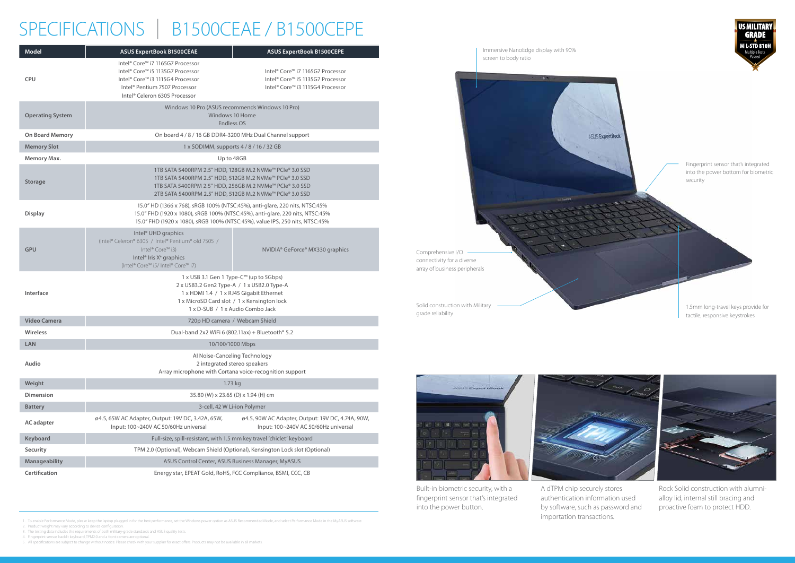



1. To enable Performance Mode, please keep the laptop plugged in for the best performance, set the Windows power option as ASUS Recommended Mode, and select Performance Mode in the MyASUS software.

2. Product weight may vary according to device configuration.

# SPECIFICATIONS | B1500CEAE / B1500CEPE

3. The testing data includes the requirements of both military-grade standards and ASUS quality tests.

4. Fingerprint sensor, backlit keyboard, TPM2.0 and a front camera are optional.

5. All specifications are subject to change without notice. Please check with your supplier for exact offers. Products may not be available in all markets.



| Model                   | <b>ASUS ExpertBook B1500CEAE</b>                                                                                                                                                                                                             | <b>ASUS ExpertBook B1500CEPE</b>                                                                                                                                                                                                             |                                                                                               |
|-------------------------|----------------------------------------------------------------------------------------------------------------------------------------------------------------------------------------------------------------------------------------------|----------------------------------------------------------------------------------------------------------------------------------------------------------------------------------------------------------------------------------------------|-----------------------------------------------------------------------------------------------|
| <b>CPU</b>              | Intel® Core™ i7 1165G7 Processor<br>Intel® Core™ i5 1135G7 Processor<br>Intel® Core™ i3 1115G4 Processor<br>Intel® Pentium 7507 Processor<br>Intel® Celeron 6305 Processor                                                                   | Intel® Core™ i7 1165G7 Processor<br>Intel® Core™ i5 1135G7 Processor<br>Intel® Core™ i3 1115G4 Processor                                                                                                                                     |                                                                                               |
| <b>Operating System</b> | Windows 10 Pro (ASUS recommends Windows 10 Pro)<br>Windows 10 Home<br>Endless OS                                                                                                                                                             |                                                                                                                                                                                                                                              |                                                                                               |
| <b>On Board Memory</b>  |                                                                                                                                                                                                                                              | On board 4 / 8 / 16 GB DDR4-3200 MHz Dual Channel support                                                                                                                                                                                    |                                                                                               |
| <b>Memory Slot</b>      | 1 x SODIMM, supports 4 / 8 / 16 / 32 GB                                                                                                                                                                                                      |                                                                                                                                                                                                                                              |                                                                                               |
| Memory Max.             | Up to 48GB                                                                                                                                                                                                                                   |                                                                                                                                                                                                                                              |                                                                                               |
| <b>Storage</b>          |                                                                                                                                                                                                                                              | 1TB SATA 5400RPM 2.5" HDD, 128GB M.2 NVMe™ PCle® 3.0 SSD<br>1TB SATA 5400RPM 2.5" HDD, 512GB M.2 NVMe™ PCIe® 3.0 SSD<br>1TB SATA 5400RPM 2.5" HDD, 256GB M.2 NVMe™ PCIe® 3.0 SSD<br>2TB SATA 5400RPM 2.5" HDD, 512GB M.2 NVMe™ PCIe® 3.0 SSD |                                                                                               |
| <b>Display</b>          | 15.0" HD (1366 x 768), sRGB 100% (NTSC:45%), anti-glare, 220 nits, NTSC:45%<br>15.0" FHD (1920 x 1080), sRGB 100% (NTSC:45%), anti-glare, 220 nits, NTSC:45%<br>15.0" FHD (1920 x 1080), sRGB 100% (NTSC:45%), value IPS, 250 nits, NTSC:45% |                                                                                                                                                                                                                                              |                                                                                               |
| <b>GPU</b>              | Intel <sup>®</sup> UHD graphics<br>(Intel® Celeron® 6305 / Intel® Pentium® old 7505 /<br>Intel® Core™ i3)<br>Intel <sup>®</sup> Iris X <sup>e</sup> graphics<br>(Intel® Core™ i5/ Intel® Core™ i7)                                           | NVIDIA® GeForce® MX330 graphics                                                                                                                                                                                                              | Comprehensive I/O<br>connectivity for a diverse<br>array of business peripherals              |
| Interface               |                                                                                                                                                                                                                                              | 1 x USB 3.1 Gen 1 Type-C™ (up to 5Gbps)<br>2 x USB3.2 Gen2 Type-A / 1 x USB2.0 Type-A<br>1 x HDMI 1.4 / 1 x RJ45 Gigabit Ethernet<br>1 x MicroSD Card slot / 1 x Kensington lock<br>1 x D-SUB / 1 x Audio Combo Jack                         | Solid construction with Military<br>grade reliability                                         |
| <b>Video Camera</b>     |                                                                                                                                                                                                                                              | 720p HD camera / Webcam Shield                                                                                                                                                                                                               |                                                                                               |
| <b>Wireless</b>         |                                                                                                                                                                                                                                              | Dual-band 2x2 WiFi 6 (802.11ax) + Bluetooth® 5.2                                                                                                                                                                                             |                                                                                               |
| LAN                     |                                                                                                                                                                                                                                              | 10/100/1000 Mbps                                                                                                                                                                                                                             |                                                                                               |
| Audio                   |                                                                                                                                                                                                                                              | Al Noise-Canceling Technology<br>2 integrated stereo speakers<br>Array microphone with Cortana voice-recognition support                                                                                                                     |                                                                                               |
| Weight                  |                                                                                                                                                                                                                                              | 1.73 kg                                                                                                                                                                                                                                      | <b>ASLIS ENGINEERS</b>                                                                        |
| <b>Dimension</b>        |                                                                                                                                                                                                                                              | 35.80 (W) x 23.65 (D) x 1.94 (H) cm                                                                                                                                                                                                          |                                                                                               |
| <b>Battery</b>          |                                                                                                                                                                                                                                              | 3-cell, 42 W Li-ion Polymer                                                                                                                                                                                                                  |                                                                                               |
| <b>AC</b> adapter       | ø4.5, 65W AC Adapter, Output: 19V DC, 3.42A, 65W,<br>Input: 100~240V AC 50/60Hz universal                                                                                                                                                    | ø4.5, 90W AC Adapter, Output: 19V DC, 4.74A, 90W,<br>Input: 100~240V AC 50/60Hz universal                                                                                                                                                    |                                                                                               |
| Keyboard                |                                                                                                                                                                                                                                              | Full-size, spill-resistant, with 1.5 mm key travel 'chiclet' keyboard                                                                                                                                                                        |                                                                                               |
| Security                | TPM 2.0 (Optional), Webcam Shield (Optional), Kensington Lock slot (Optional)                                                                                                                                                                |                                                                                                                                                                                                                                              |                                                                                               |
| Manageability           |                                                                                                                                                                                                                                              | ASUS Control Center, ASUS Business Manager, MyASUS                                                                                                                                                                                           |                                                                                               |
| Certification           |                                                                                                                                                                                                                                              | Energy star, EPEAT Gold, RoHS, FCC Compliance, BSMI, CCC, CB                                                                                                                                                                                 |                                                                                               |
|                         |                                                                                                                                                                                                                                              |                                                                                                                                                                                                                                              | $D_{\text{tr}}$ $\mathbb{R}$ $\mathbb{R}$ $\mathbb{R}$ $\mathbb{R}$ $\mathbb{R}$ $\mathbb{R}$ |

Built-in biometric security, with a fingerprint sensor that's integrated into the power button.



Rock Solid construction with alumnialloy lid, internal still bracing and proactive foam to protect HDD.

A dTPM chip securely stores authentication information used by software, such as password and importation transactions.